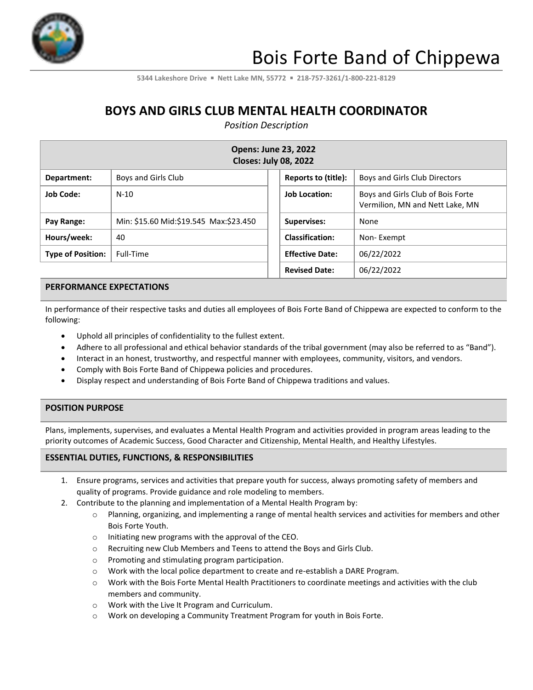

**5344 Lakeshore Drive** ▪ **Nett Lake MN, 55772** ▪ **218-757-3261/1-800-221-8129**

## **BOYS AND GIRLS CLUB MENTAL HEALTH COORDINATOR**

*Position Description*

| <b>Opens: June 23, 2022</b><br><b>Closes: July 08, 2022</b> |                                        |                        |                                                                      |  |
|-------------------------------------------------------------|----------------------------------------|------------------------|----------------------------------------------------------------------|--|
| Department:                                                 | Boys and Girls Club                    | Reports to (title):    | Boys and Girls Club Directors                                        |  |
| <b>Job Code:</b>                                            | $N-10$                                 | <b>Job Location:</b>   | Boys and Girls Club of Bois Forte<br>Vermilion, MN and Nett Lake, MN |  |
| Pay Range:                                                  | Min: \$15.60 Mid:\$19.545 Max:\$23.450 | <b>Supervises:</b>     | None                                                                 |  |
| Hours/week:                                                 | 40                                     | <b>Classification:</b> | Non-Exempt                                                           |  |
| <b>Type of Position:</b>                                    | Full-Time                              | <b>Effective Date:</b> | 06/22/2022                                                           |  |
|                                                             |                                        | <b>Revised Date:</b>   | 06/22/2022                                                           |  |

#### **PERFORMANCE EXPECTATIONS**

In performance of their respective tasks and duties all employees of Bois Forte Band of Chippewa are expected to conform to the following:

- Uphold all principles of confidentiality to the fullest extent.
- Adhere to all professional and ethical behavior standards of the tribal government (may also be referred to as "Band").
- Interact in an honest, trustworthy, and respectful manner with employees, community, visitors, and vendors.
- Comply with Bois Forte Band of Chippewa policies and procedures.
- Display respect and understanding of Bois Forte Band of Chippewa traditions and values.

#### **POSITION PURPOSE**

Plans, implements, supervises, and evaluates a Mental Health Program and activities provided in program areas leading to the priority outcomes of Academic Success, Good Character and Citizenship, Mental Health, and Healthy Lifestyles.

### **ESSENTIAL DUTIES, FUNCTIONS, & RESPONSIBILITIES**

- 1. Ensure programs, services and activities that prepare youth for success, always promoting safety of members and quality of programs. Provide guidance and role modeling to members.
- 2. Contribute to the planning and implementation of a Mental Health Program by:
	- o Planning, organizing, and implementing a range of mental health services and activities for members and other Bois Forte Youth.
	- o Initiating new programs with the approval of the CEO.
	- o Recruiting new Club Members and Teens to attend the Boys and Girls Club.
	- o Promoting and stimulating program participation.
	- o Work with the local police department to create and re-establish a DARE Program.
	- o Work with the Bois Forte Mental Health Practitioners to coordinate meetings and activities with the club members and community.
	- o Work with the Live It Program and Curriculum.
	- o Work on developing a Community Treatment Program for youth in Bois Forte.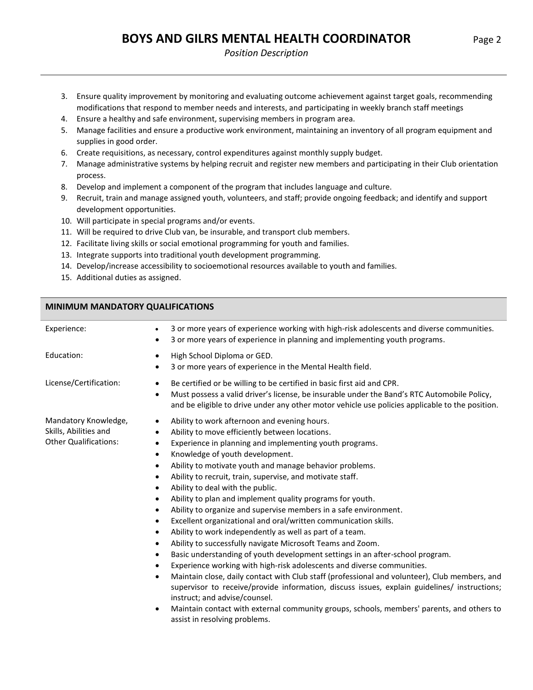# **BOYS AND GILRS MENTAL HEALTH COORDINATOR** Page 2

#### *Position Description*

- 3. Ensure quality improvement by monitoring and evaluating outcome achievement against target goals, recommending modifications that respond to member needs and interests, and participating in weekly branch staff meetings
- 4. Ensure a healthy and safe environment, supervising members in program area.
- 5. Manage facilities and ensure a productive work environment, maintaining an inventory of all program equipment and supplies in good order.
- 6. Create requisitions, as necessary, control expenditures against monthly supply budget.
- 7. Manage administrative systems by helping recruit and register new members and participating in their Club orientation process.
- 8. Develop and implement a component of the program that includes language and culture.
- 9. Recruit, train and manage assigned youth, volunteers, and staff; provide ongoing feedback; and identify and support development opportunities.
- 10. Will participate in special programs and/or events.
- 11. Will be required to drive Club van, be insurable, and transport club members.
- 12. Facilitate living skills or social emotional programming for youth and families.
- 13. Integrate supports into traditional youth development programming.
- 14. Develop/increase accessibility to socioemotional resources available to youth and families.
- 15. Additional duties as assigned.

### **MINIMUM MANDATORY QUALIFICATIONS**

| Experience:                                                                   | 3 or more years of experience working with high-risk adolescents and diverse communities.<br>3 or more years of experience in planning and implementing youth programs.<br>٠                                                                                                                                                                                                                                                                                                                                                                                                                                                                                                                                                                                                                                                                                                                                                                                                                                                                                                                                                                                                                                                                                                                                                                                                                              |
|-------------------------------------------------------------------------------|-----------------------------------------------------------------------------------------------------------------------------------------------------------------------------------------------------------------------------------------------------------------------------------------------------------------------------------------------------------------------------------------------------------------------------------------------------------------------------------------------------------------------------------------------------------------------------------------------------------------------------------------------------------------------------------------------------------------------------------------------------------------------------------------------------------------------------------------------------------------------------------------------------------------------------------------------------------------------------------------------------------------------------------------------------------------------------------------------------------------------------------------------------------------------------------------------------------------------------------------------------------------------------------------------------------------------------------------------------------------------------------------------------------|
| Education:                                                                    | High School Diploma or GED.<br>$\bullet$<br>3 or more years of experience in the Mental Health field.<br>٠                                                                                                                                                                                                                                                                                                                                                                                                                                                                                                                                                                                                                                                                                                                                                                                                                                                                                                                                                                                                                                                                                                                                                                                                                                                                                                |
| License/Certification:                                                        | Be certified or be willing to be certified in basic first aid and CPR.<br>$\bullet$<br>Must possess a valid driver's license, be insurable under the Band's RTC Automobile Policy,<br>٠<br>and be eligible to drive under any other motor vehicle use policies applicable to the position.                                                                                                                                                                                                                                                                                                                                                                                                                                                                                                                                                                                                                                                                                                                                                                                                                                                                                                                                                                                                                                                                                                                |
| Mandatory Knowledge,<br>Skills, Abilities and<br><b>Other Qualifications:</b> | Ability to work afternoon and evening hours.<br>$\bullet$<br>Ability to move efficiently between locations.<br>$\bullet$<br>Experience in planning and implementing youth programs.<br>$\bullet$<br>Knowledge of youth development.<br>$\bullet$<br>Ability to motivate youth and manage behavior problems.<br>$\bullet$<br>Ability to recruit, train, supervise, and motivate staff.<br>٠<br>Ability to deal with the public.<br>$\bullet$<br>Ability to plan and implement quality programs for youth.<br>$\bullet$<br>Ability to organize and supervise members in a safe environment.<br>$\bullet$<br>Excellent organizational and oral/written communication skills.<br>$\bullet$<br>Ability to work independently as well as part of a team.<br>$\bullet$<br>Ability to successfully navigate Microsoft Teams and Zoom.<br>$\bullet$<br>Basic understanding of youth development settings in an after-school program.<br>٠<br>Experience working with high-risk adolescents and diverse communities.<br>$\bullet$<br>Maintain close, daily contact with Club staff (professional and volunteer), Club members, and<br>٠<br>supervisor to receive/provide information, discuss issues, explain guidelines/ instructions;<br>instruct; and advise/counsel.<br>Maintain contact with external community groups, schools, members' parents, and others to<br>$\bullet$<br>assist in resolving problems. |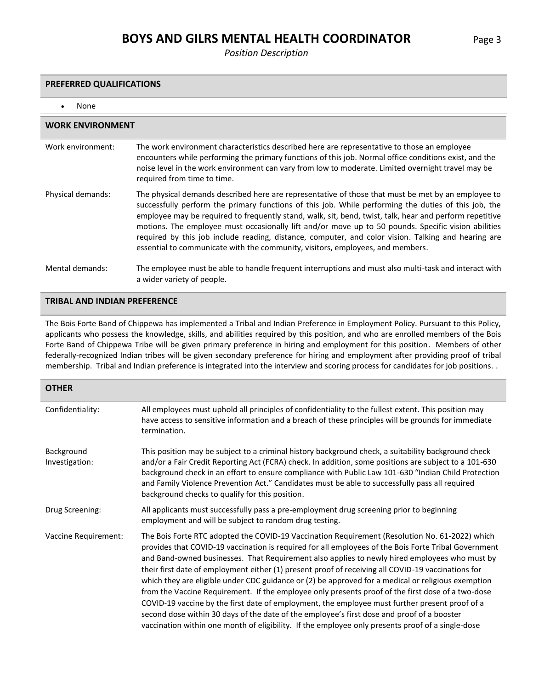### **BOYS AND GILRS MENTAL HEALTH COORDINATOR** Page 3

*Position Description*

#### **PREFERRED QUALIFICATIONS**

• None

| <b>WORK ENVIRONMENT</b> |                                                                                                                                                                                                                                                                                                                                                                                                                                                                                                                                                                                                                       |  |  |
|-------------------------|-----------------------------------------------------------------------------------------------------------------------------------------------------------------------------------------------------------------------------------------------------------------------------------------------------------------------------------------------------------------------------------------------------------------------------------------------------------------------------------------------------------------------------------------------------------------------------------------------------------------------|--|--|
| Work environment:       | The work environment characteristics described here are representative to those an employee<br>encounters while performing the primary functions of this job. Normal office conditions exist, and the<br>noise level in the work environment can vary from low to moderate. Limited overnight travel may be<br>required from time to time.                                                                                                                                                                                                                                                                            |  |  |
| Physical demands:       | The physical demands described here are representative of those that must be met by an employee to<br>successfully perform the primary functions of this job. While performing the duties of this job, the<br>employee may be required to frequently stand, walk, sit, bend, twist, talk, hear and perform repetitive<br>motions. The employee must occasionally lift and/or move up to 50 pounds. Specific vision abilities<br>required by this job include reading, distance, computer, and color vision. Talking and hearing are<br>essential to communicate with the community, visitors, employees, and members. |  |  |
| Mental demands:         | The employee must be able to handle frequent interruptions and must also multi-task and interact with<br>a wider variety of people.                                                                                                                                                                                                                                                                                                                                                                                                                                                                                   |  |  |

### **TRIBAL AND INDIAN PREFERENCE**

The Bois Forte Band of Chippewa has implemented a Tribal and Indian Preference in Employment Policy. Pursuant to this Policy, applicants who possess the knowledge, skills, and abilities required by this position, and who are enrolled members of the Bois Forte Band of Chippewa Tribe will be given primary preference in hiring and employment for this position. Members of other federally-recognized Indian tribes will be given secondary preference for hiring and employment after providing proof of tribal membership. Tribal and Indian preference is integrated into the interview and scoring process for candidates for job positions. .

| <b>OTHER</b>                 |                                                                                                                                                                                                                                                                                                                                                                                                                                                                                                                                                                                                                                                                                                                                                                                                                                                                                                                               |
|------------------------------|-------------------------------------------------------------------------------------------------------------------------------------------------------------------------------------------------------------------------------------------------------------------------------------------------------------------------------------------------------------------------------------------------------------------------------------------------------------------------------------------------------------------------------------------------------------------------------------------------------------------------------------------------------------------------------------------------------------------------------------------------------------------------------------------------------------------------------------------------------------------------------------------------------------------------------|
| Confidentiality:             | All employees must uphold all principles of confidentiality to the fullest extent. This position may<br>have access to sensitive information and a breach of these principles will be grounds for immediate<br>termination.                                                                                                                                                                                                                                                                                                                                                                                                                                                                                                                                                                                                                                                                                                   |
| Background<br>Investigation: | This position may be subject to a criminal history background check, a suitability background check<br>and/or a Fair Credit Reporting Act (FCRA) check. In addition, some positions are subject to a 101-630<br>background check in an effort to ensure compliance with Public Law 101-630 "Indian Child Protection<br>and Family Violence Prevention Act." Candidates must be able to successfully pass all required<br>background checks to qualify for this position.                                                                                                                                                                                                                                                                                                                                                                                                                                                      |
| Drug Screening:              | All applicants must successfully pass a pre-employment drug screening prior to beginning<br>employment and will be subject to random drug testing.                                                                                                                                                                                                                                                                                                                                                                                                                                                                                                                                                                                                                                                                                                                                                                            |
| Vaccine Requirement:         | The Bois Forte RTC adopted the COVID-19 Vaccination Requirement (Resolution No. 61-2022) which<br>provides that COVID-19 vaccination is required for all employees of the Bois Forte Tribal Government<br>and Band-owned businesses. That Requirement also applies to newly hired employees who must by<br>their first date of employment either (1) present proof of receiving all COVID-19 vaccinations for<br>which they are eligible under CDC guidance or (2) be approved for a medical or religious exemption<br>from the Vaccine Requirement. If the employee only presents proof of the first dose of a two-dose<br>COVID-19 vaccine by the first date of employment, the employee must further present proof of a<br>second dose within 30 days of the date of the employee's first dose and proof of a booster<br>vaccination within one month of eligibility. If the employee only presents proof of a single-dose |